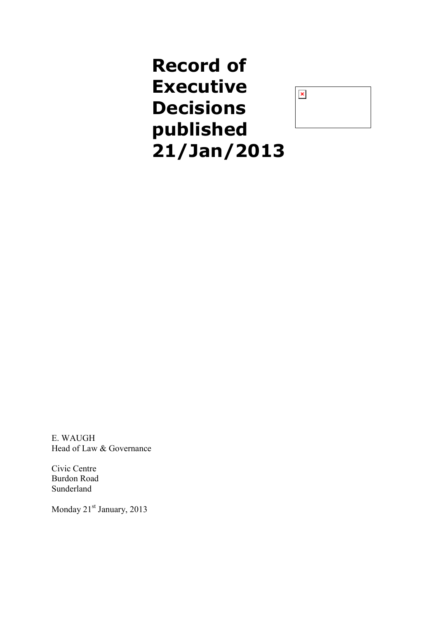

E. WAUGH Head of Law & Governance

Civic Centre Burdon Road Sunderland

Monday 21<sup>st</sup> January, 2013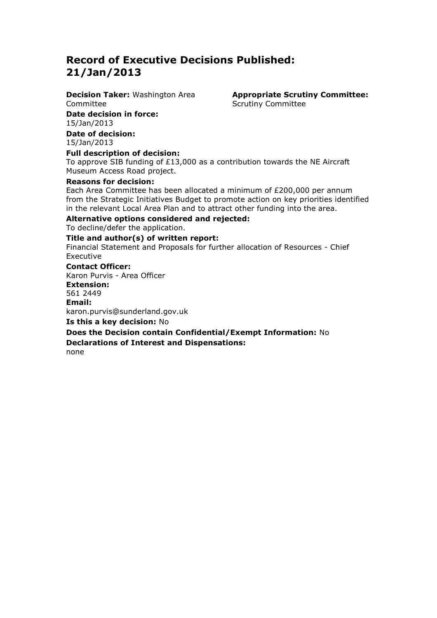**Decision Taker:** Washington Area Committee

**Appropriate Scrutiny Committee:** Scrutiny Committee

**Date decision in force:**  15/Jan/2013

**Date of decision:** 15/Jan/2013

### **Full description of decision:**

To approve SIB funding of £13,000 as a contribution towards the NE Aircraft Museum Access Road project.

### **Reasons for decision:**

Each Area Committee has been allocated a minimum of £200,000 per annum from the Strategic Initiatives Budget to promote action on key priorities identified in the relevant Local Area Plan and to attract other funding into the area.

### **Alternative options considered and rejected:**

To decline/defer the application.

### **Title and author(s) of written report:**

Financial Statement and Proposals for further allocation of Resources - Chief Executive

### **Contact Officer:**

Karon Purvis - Area Officer **Extension:**  561 2449 **Email:**  karon.purvis@sunderland.gov.uk **Is this a key decision:** No **Does the Decision contain Confidential/Exempt Information:** No **Declarations of Interest and Dispensations:** none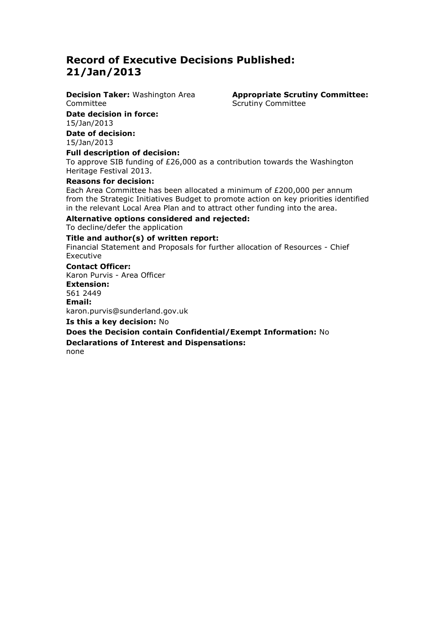**Decision Taker:** Washington Area Committee

**Date decision in force:**  15/Jan/2013

**Date of decision:** 15/Jan/2013

**Full description of decision:**

To approve SIB funding of £26,000 as a contribution towards the Washington Heritage Festival 2013.

### **Reasons for decision:**

Each Area Committee has been allocated a minimum of £200,000 per annum from the Strategic Initiatives Budget to promote action on key priorities identified in the relevant Local Area Plan and to attract other funding into the area.

**Alternative options considered and rejected:**

To decline/defer the application

### **Title and author(s) of written report:**

Financial Statement and Proposals for further allocation of Resources - Chief Executive

### **Contact Officer:**

Karon Purvis - Area Officer **Extension:**  561 2449 **Email:**  karon.purvis@sunderland.gov.uk **Is this a key decision:** No **Does the Decision contain Confidential/Exempt Information:** No **Declarations of Interest and Dispensations:** none

**Appropriate Scrutiny Committee:** Scrutiny Committee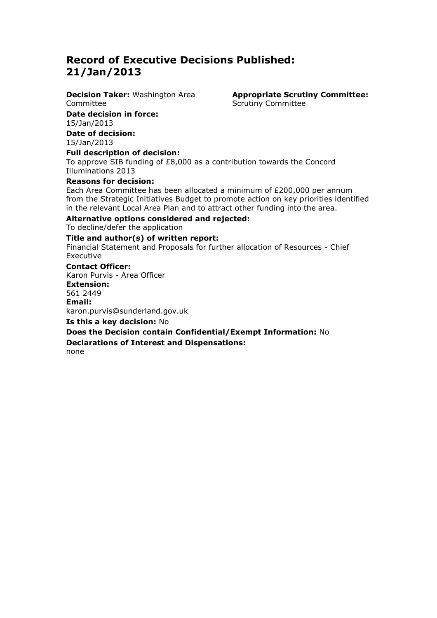**Decision Taker:** Washington Area Committee

**Date decision in force:**  15/Jan/2013

**Date of decision:** 15/Jan/2013

**Appropriate Scrutiny Committee:** Scrutiny Committee

### **Full description of decision:**

To approve SIB funding of £8,000 as a contribution towards the Concord Illuminations 2013

### **Reasons for decision:**

Each Area Committee has been allocated a minimum of £200,000 per annum from the Strategic Initiatives Budget to promote action on key priorities identified in the relevant Local Area Plan and to attract other funding into the area.

### **Alternative options considered and rejected:**

To decline/defer the application

### **Title and author(s) of written report:**

Financial Statement and Proposals for further allocation of Resources - Chief Executive

### **Contact Officer:**

Karon Purvis - Area Officer **Extension:**  561 2449 **Email:**  karon.purvis@sunderland.gov.uk **Is this a key decision:** No **Does the Decision contain Confidential/Exempt Information:** No **Declarations of Interest and Dispensations:** none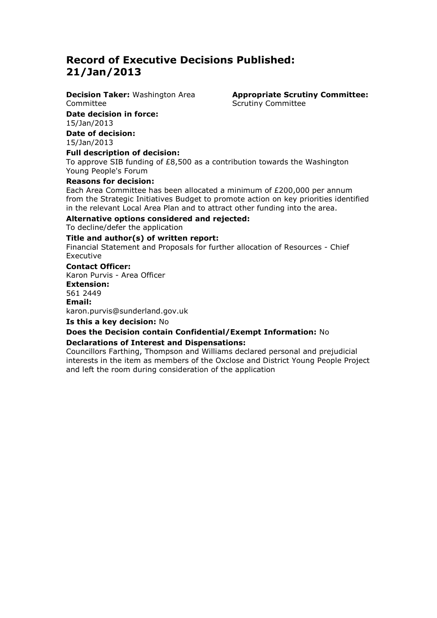**Decision Taker:** Washington Area Committee

**Date decision in force:**  15/Jan/2013

**Date of decision:** 15/Jan/2013

**Full description of decision:**

To approve SIB funding of £8,500 as a contribution towards the Washington Young People's Forum

### **Reasons for decision:**

Each Area Committee has been allocated a minimum of £200,000 per annum from the Strategic Initiatives Budget to promote action on key priorities identified in the relevant Local Area Plan and to attract other funding into the area.

### **Alternative options considered and rejected:**

To decline/defer the application

### **Title and author(s) of written report:**

Financial Statement and Proposals for further allocation of Resources - Chief Executive

### **Contact Officer:**

Karon Purvis - Area Officer **Extension:**  561 2449 **Email:**  karon.purvis@sunderland.gov.uk

**Is this a key decision:** No

### **Does the Decision contain Confidential/Exempt Information:** No

### **Declarations of Interest and Dispensations:**

Councillors Farthing, Thompson and Williams declared personal and prejudicial interests in the item as members of the Oxclose and District Young People Project and left the room during consideration of the application

**Appropriate Scrutiny Committee:** Scrutiny Committee